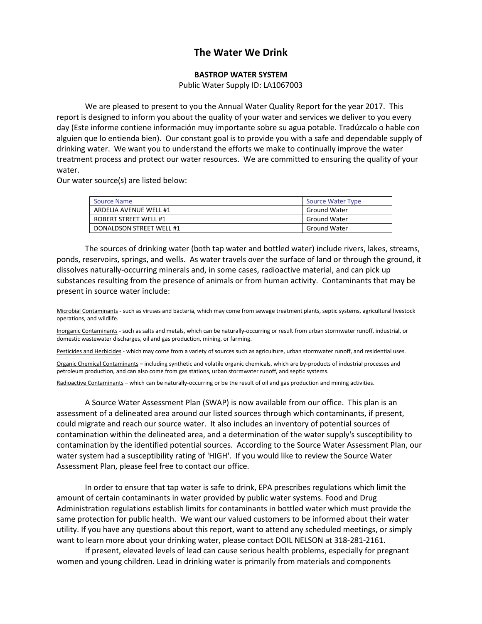## **The Water We Drink**

## **BASTROP WATER SYSTEM**

Public Water Supply ID: LA1067003

We are pleased to present to you the Annual Water Quality Report for the year 2017. This report is designed to inform you about the quality of your water and services we deliver to you every day (Este informe contiene información muy importante sobre su agua potable. Tradúzcalo o hable con alguien que lo entienda bien). Our constant goal is to provide you with a safe and dependable supply of drinking water. We want you to understand the efforts we make to continually improve the water treatment process and protect our water resources. We are committed to ensuring the quality of your water.

Our water source(s) are listed below:

| <b>Source Name</b>           | <b>Source Water Type</b> |
|------------------------------|--------------------------|
| ARDELIA AVENUE WELL #1       | <b>Ground Water</b>      |
| <b>ROBERT STREET WELL #1</b> | <b>Ground Water</b>      |
| DONALDSON STREET WELL #1     | <b>Ground Water</b>      |

The sources of drinking water (both tap water and bottled water) include rivers, lakes, streams, ponds, reservoirs, springs, and wells. As water travels over the surface of land or through the ground, it dissolves naturally-occurring minerals and, in some cases, radioactive material, and can pick up substances resulting from the presence of animals or from human activity. Contaminants that may be present in source water include:

Microbial Contaminants - such as viruses and bacteria, which may come from sewage treatment plants, septic systems, agricultural livestock operations, and wildlife.

Inorganic Contaminants - such as salts and metals, which can be naturally-occurring or result from urban stormwater runoff, industrial, or domestic wastewater discharges, oil and gas production, mining, or farming.

Pesticides and Herbicides - which may come from a variety of sources such as agriculture, urban stormwater runoff, and residential uses.

Organic Chemical Contaminants – including synthetic and volatile organic chemicals, which are by-products of industrial processes and petroleum production, and can also come from gas stations, urban stormwater runoff, and septic systems.

Radioactive Contaminants – which can be naturally-occurring or be the result of oil and gas production and mining activities.

A Source Water Assessment Plan (SWAP) is now available from our office. This plan is an assessment of a delineated area around our listed sources through which contaminants, if present, could migrate and reach our source water. It also includes an inventory of potential sources of contamination within the delineated area, and a determination of the water supply's susceptibility to contamination by the identified potential sources. According to the Source Water Assessment Plan, our water system had a susceptibility rating of 'HIGH'. If you would like to review the Source Water Assessment Plan, please feel free to contact our office.

In order to ensure that tap water is safe to drink, EPA prescribes regulations which limit the amount of certain contaminants in water provided by public water systems. Food and Drug Administration regulations establish limits for contaminants in bottled water which must provide the same protection for public health. We want our valued customers to be informed about their water utility. If you have any questions about this report, want to attend any scheduled meetings, or simply want to learn more about your drinking water, please contact DOIL NELSON at 318-281-2161.

If present, elevated levels of lead can cause serious health problems, especially for pregnant women and young children. Lead in drinking water is primarily from materials and components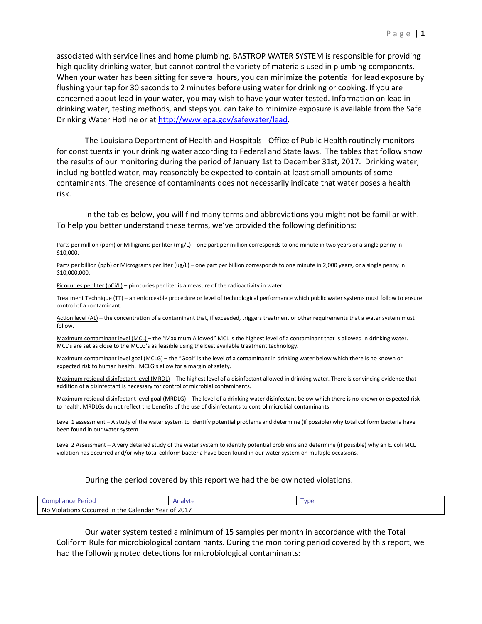associated with service lines and home plumbing. BASTROP WATER SYSTEM is responsible for providing high quality drinking water, but cannot control the variety of materials used in plumbing components. When your water has been sitting for several hours, you can minimize the potential for lead exposure by flushing your tap for 30 seconds to 2 minutes before using water for drinking or cooking. If you are concerned about lead in your water, you may wish to have your water tested. Information on lead in drinking water, testing methods, and steps you can take to minimize exposure is available from the Safe Drinking Water Hotline or at [http://www.epa.gov/safewater/lead.](http://www.epa.gov/safewater/lead)

The Louisiana Department of Health and Hospitals - Office of Public Health routinely monitors for constituents in your drinking water according to Federal and State laws. The tables that follow show the results of our monitoring during the period of January 1st to December 31st, 2017. Drinking water, including bottled water, may reasonably be expected to contain at least small amounts of some contaminants. The presence of contaminants does not necessarily indicate that water poses a health risk.

In the tables below, you will find many terms and abbreviations you might not be familiar with. To help you better understand these terms, we've provided the following definitions:

Parts per million (ppm) or Milligrams per liter (mg/L) – one part per million corresponds to one minute in two years or a single penny in \$10,000.

Parts per billion (ppb) or Micrograms per liter (ug/L) – one part per billion corresponds to one minute in 2,000 years, or a single penny in \$10,000,000.

Picocuries per liter ( $pCi/L$ ) – picocuries per liter is a measure of the radioactivity in water.

Treatment Technique (TT) – an enforceable procedure or level of technological performance which public water systems must follow to ensure control of a contaminant.

Action level (AL) – the concentration of a contaminant that, if exceeded, triggers treatment or other requirements that a water system must follow.

Maximum contaminant level (MCL) – the "Maximum Allowed" MCL is the highest level of a contaminant that is allowed in drinking water. MCL's are set as close to the MCLG's as feasible using the best available treatment technology.

Maximum contaminant level goal (MCLG) – the "Goal" is the level of a contaminant in drinking water below which there is no known or expected risk to human health. MCLG's allow for a margin of safety.

Maximum residual disinfectant level (MRDL) – The highest level of a disinfectant allowed in drinking water. There is convincing evidence that addition of a disinfectant is necessary for control of microbial contaminants.

Maximum residual disinfectant level goal (MRDLG) – The level of a drinking water disinfectant below which there is no known or expected risk to health. MRDLGs do not reflect the benefits of the use of disinfectants to control microbial contaminants.

Level 1 assessment - A study of the water system to identify potential problems and determine (if possible) why total coliform bacteria have been found in our water system.

Level 2 Assessment - A very detailed study of the water system to identify potential problems and determine (if possible) why an E. coli MCL violation has occurred and/or why total coliform bacteria have been found in our water system on multiple occasions.

## During the period covered by this report we had the below noted violations.

| Perioo<br>$\sim$<br>npliance<br>، ست                                                     | Analyt<br>Alla.<br>. | $\mathbf{m}$ |  |  |  |  |  |
|------------------------------------------------------------------------------------------|----------------------|--------------|--|--|--|--|--|
| $\cdots$<br>2017<br>No<br>Violations<br>. Year of .<br>. Calendar<br>s Occurred in the C |                      |              |  |  |  |  |  |

Our water system tested a minimum of 15 samples per month in accordance with the Total Coliform Rule for microbiological contaminants. During the monitoring period covered by this report, we had the following noted detections for microbiological contaminants: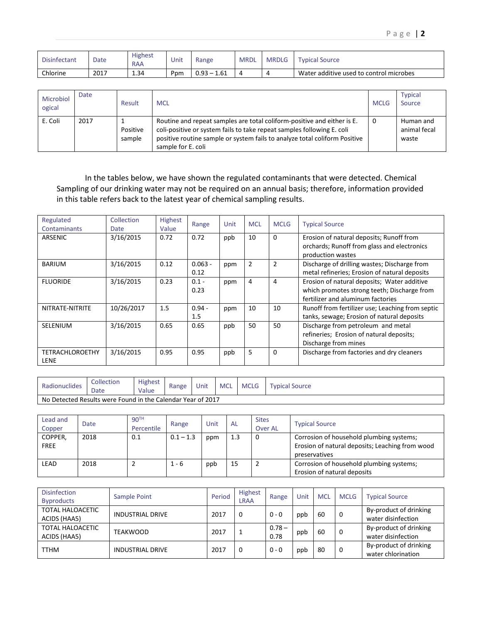| <b>Disinfectant</b> | Date | <b>Highest</b><br>RAA | Unit | Range                    | <b>MRDL</b> | <b>MRDLG</b> | <b>Typical Source</b>                   |
|---------------------|------|-----------------------|------|--------------------------|-------------|--------------|-----------------------------------------|
| Chlorine            | 2017 | 1.34                  | Ppm  | $\cdot$ 1.61<br>$0.93 -$ |             | 4            | Water additive used to control microbes |

| Microbiol<br>ogical | Date | Result             | <b>MCL</b>                                                                                                                                                                                                                                            | <b>MCLG</b> | <b>Typical</b><br>Source           |
|---------------------|------|--------------------|-------------------------------------------------------------------------------------------------------------------------------------------------------------------------------------------------------------------------------------------------------|-------------|------------------------------------|
| E. Coli             | 2017 | Positive<br>sample | Routine and repeat samples are total coliform-positive and either is E.<br>coli-positive or system fails to take repeat samples following E. coli<br>positive routine sample or system fails to analyze total coliform Positive<br>sample for E. coli | 0           | Human and<br>animal fecal<br>waste |

In the tables below, we have shown the regulated contaminants that were detected. Chemical Sampling of our drinking water may not be required on an annual basis; therefore, information provided in this table refers back to the latest year of chemical sampling results.

| Regulated<br>Contaminants             | Collection<br>Date | <b>Highest</b><br>Value | Range             | Unit | <b>MCL</b>     | <b>MCLG</b>    | <b>Typical Source</b>                                                                                                           |  |  |  |
|---------------------------------------|--------------------|-------------------------|-------------------|------|----------------|----------------|---------------------------------------------------------------------------------------------------------------------------------|--|--|--|
| ARSENIC                               | 3/16/2015          | 0.72                    | 0.72              | ppb  | 10             | $\Omega$       | Erosion of natural deposits; Runoff from<br>orchards; Runoff from glass and electronics<br>production wastes                    |  |  |  |
| <b>BARIUM</b>                         | 3/16/2015          | 0.12                    | $0.063 -$<br>0.12 | ppm  | $\overline{2}$ | $\overline{2}$ | Discharge of drilling wastes; Discharge from<br>metal refineries; Erosion of natural deposits                                   |  |  |  |
| <b>FLUORIDE</b>                       | 3/16/2015          | 0.23                    | $0.1 -$<br>0.23   | ppm  | 4              | 4              | Erosion of natural deposits; Water additive<br>which promotes strong teeth; Discharge from<br>fertilizer and aluminum factories |  |  |  |
| NITRATE-NITRITE                       | 10/26/2017         | 1.5                     | $0.94 -$<br>1.5   | ppm  | 10             | 10             | Runoff from fertilizer use; Leaching from septic<br>tanks, sewage; Erosion of natural deposits                                  |  |  |  |
| SELENIUM                              | 3/16/2015          | 0.65                    | 0.65              | ppb  | 50             | 50             | Discharge from petroleum and metal<br>refineries; Erosion of natural deposits;<br>Discharge from mines                          |  |  |  |
| <b>TETRACHLOROETHY</b><br><b>LENE</b> | 3/16/2015          | 0.95                    | 0.95              | ppb  | 5              | $\Omega$       | Discharge from factories and dry cleaners                                                                                       |  |  |  |

| Radionuclides                                               | Collection<br>Date | <b>Highest</b><br>Value | Range | Unit | <b>MCL</b> | <b>MCLG</b> | $^\mathsf{T}$ vpical J<br>' Source |  |
|-------------------------------------------------------------|--------------------|-------------------------|-------|------|------------|-------------|------------------------------------|--|
| No Detected Results were Found in the Calendar Year of 2017 |                    |                         |       |      |            |             |                                    |  |

| Lead and<br>Copper     | <b>Date</b> | 90 <sup>TH</sup><br>Percentile | Range       | Unit | <b>AL</b> | <b>Sites</b><br><b>Over AL</b> | <b>Typical Source</b>                                                                                        |
|------------------------|-------------|--------------------------------|-------------|------|-----------|--------------------------------|--------------------------------------------------------------------------------------------------------------|
| COPPER,<br><b>FREE</b> | 2018        | 0.1                            | $0.1 - 1.3$ | ppm  | 1.3       | 0                              | Corrosion of household plumbing systems;<br>Erosion of natural deposits; Leaching from wood<br>preservatives |
| <b>LEAD</b>            | 2018        |                                | $1 - 6$     | ppb  | 15        | 2                              | Corrosion of household plumbing systems;<br>Erosion of natural deposits                                      |

| <b>Disinfection</b><br><b>Byproducts</b> | Sample Point            | Period | <b>Highest</b><br><b>LRAA</b> | Range            | Unit | <b>MCL</b> | <b>MCLG</b> | <b>Typical Source</b>                        |
|------------------------------------------|-------------------------|--------|-------------------------------|------------------|------|------------|-------------|----------------------------------------------|
| TOTAL HALOACETIC<br>ACIDS (HAA5)         | <b>INDUSTRIAL DRIVE</b> | 2017   | 0                             | $0 - 0$          | ppb  | 60         | 0           | By-product of drinking<br>water disinfection |
| TOTAL HALOACETIC<br>ACIDS (HAA5)         | TEAKWOOD                | 2017   |                               | $0.78 -$<br>0.78 | ppb  | 60         | 0           | By-product of drinking<br>water disinfection |
| <b>TTHM</b>                              | <b>INDUSTRIAL DRIVE</b> | 2017   | 0                             | $0 - 0$          | ppb  | 80         | 0           | By-product of drinking<br>water chlorination |